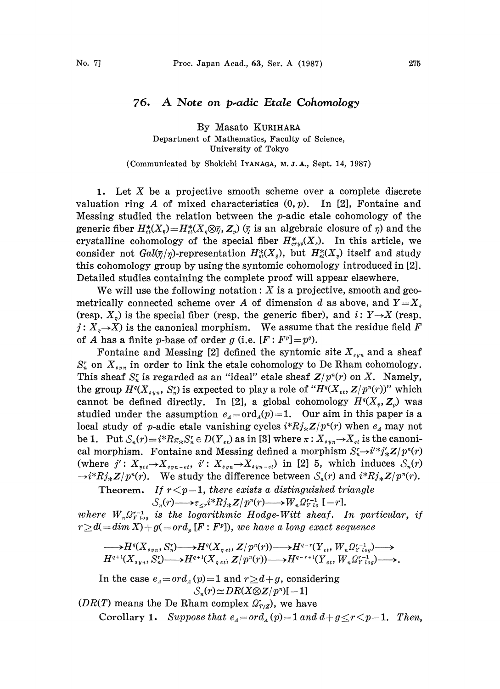## 76. A Note on p.adic Etale Cohomology

By Masato KURIHARA Department of Mathematics, Faculty of Science, University of Tokyo

(Communicated by Shokichi IYANAGA, M. J.A., Sept. 14, 1987)

1. Let  $X$  be a projective smooth scheme over a complete discrete valuation ring A of mixed characteristics  $(0, p)$ . In [2], Fontaine and Messing studied the relation between the  $p$ -adic etale cohomology of the generic fiber  $H_{\acute{e}t}^*(X_{\bar{z}})=H_{\acute{e}t}^*(X_{\bar{z}}\otimes \bar{\gamma}, Z_{\bar{z}})$  ( $\bar{\gamma}$  is an algebraic closure of  $\eta$ ) and the crystalline cohomology of the special fiber  $H^*_{crys}(X_s)$ . In this article, we consider not  $Gal(\bar{\eta}/\eta)$ -representation  $H_{\alpha}^*(X_{\bar{\eta}})$ , but  $H_{\alpha}^*(X_{\eta})$  itself and study this cohomology group by using the syntomic cohomology introduced in [2]. Detailed studies containing the complete proof will appear elsewhere.

We will use the following notation:  $X$  is a projective, smooth and geometrically connected scheme over A of dimension d as above, and  $Y=X$ . (resp.  $X_n$ ) is the special fiber (resp. the generic fiber), and i:  $Y \rightarrow X$  (resp.  $j: X_{n} \rightarrow X$  is the canonical morphism. We assume that the residue field F of A has a finite p-base of order g (i.e.  $[F: F^p]=p^q$ ).

Fontaine and Messing [2] defined the syntomic site  $X_{syn}$  and a sheaf  $S_n^r$  on  $X_{syn}$  in order to link the etale cohomology to De Rham cohomology. This sheaf  $S_n^r$  is regarded as an "ideal" etale sheaf  $Z/p^r(r)$  on X. Namely, the group  $H^{q}(X_{syn}, S_{n}^{r})$  is expected to play a role of " $H^{q}(X_{ev}, Z/p^{n}(r))$ " which cannot be defined directly. In [2], a global cohomology  $H^{q}(X_{\bar{z}},Z_{\bar{z}})$  was studied under the assumption  $e_A = \text{ord}_A(p)=1$ . Our aim in this paper is a local study of p-adic etale vanishing cycles  $i^*Rj_*Z/p^n(r)$  when  $e_4$  may not<br>be 1. Put  $S_n(r) = i^*R\pi_*S_n^r \in D(Y_{et})$  as in [3] where  $\pi : X_{syn} \to X_{et}$  is the canoni-<br>cal morphism. Fontaine and Messing defined a morphism  $S \to i'$ cal morphism. Fontaine and Messing defined a morphism  $S_n^r \rightarrow i'^* j'_* Z/p^r(r)$ (where  $j': X_{\eta e i} \rightarrow X_{\eta \eta - \epsilon i}, i': X_{\eta \eta} \rightarrow X_{\eta \eta - \epsilon i}$ ) in [2] 5, which induces  $S_n(r)$  $\rightarrow i^*Rj_*\mathbb{Z}/p^n(r)$ . We study the difference between  $\mathcal{S}_n(r)$  and  $i^*Rj_*\mathbb{Z}/p^n(r)$ .

Theorem. If  $r < p-1$ , there exists a distinguished triangle  $\mathcal{S}_n(r) \longrightarrow \tau_{\leq r} i^*Rj_*Z/p^n(r) \longrightarrow W_n\Omega_{Ylo}^{r-1}[-r].$ 

where  $W_{n}\Omega_{Ylog}^{r-1}$  is the logarithmic Hodge-Witt sheaf. In particular, if  $r \geq d(= \dim X) + g(= \text{ord}_p[F: F^p])$ , we have a long exact sequence

$$
\longrightarrow H^{q}(X_{syn}, S_n^r) \longrightarrow H^{q}(X_{net}, Z/p^n(r)) \longrightarrow H^{q-r}(Y_{et}, W_n \Omega_{Y \; log}^{r-1}) \longrightarrow H^{q+1}(X_{syn}, S_n^r) \longrightarrow H^{q+1}(X_{net}, Z/p^n(r)) \longrightarrow H^{q-r+1}(Y_{et}, W_n \Omega_{Y \; log}^{r-1}) \longrightarrow.
$$

In the case  $e_4=ord_A(p)=1$  and  $r\geq d+g$ , considering  $S_n(r) \simeq DR(X \otimes Z/p^n)[-1]$ 

(DR(T) means the De Rham complex  $\Omega_{T/Z}^*$ ), we have Corollary 1. Suppose that  $e_A = ord_A(p) = 1$  and  $d + g \leq r \leq p-1$ . Then,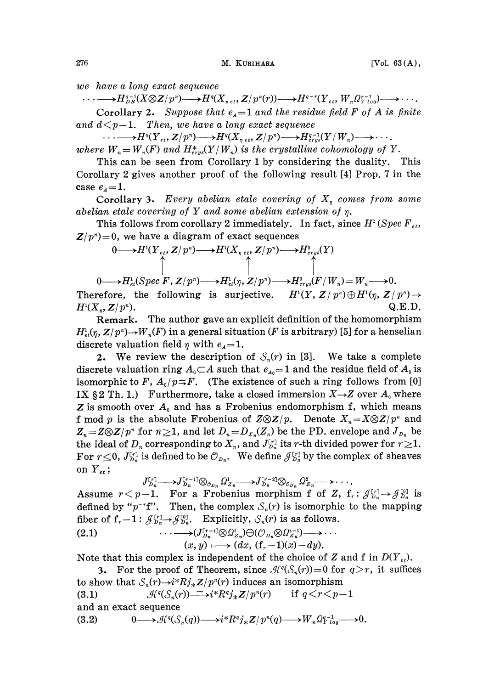we have a long exact sequence

 $\cdots \longrightarrow H_{DR}^{q-1}(X \otimes Z/p^n) \longrightarrow H^q(X_{n \text{ et } \mathbf{t}}, Z/p^n(r)) \longrightarrow H^{q-r}(Y_{\text{ et } \mathbf{t}}, W_n \Omega_{Y \text{ to } q}^{r-1}) \longrightarrow \cdots$ Corollary 2. Suppose that  $e_4=1$  and the residue field F of A is finite and  $d \leq p-1$ . Then, we have a long exact sequence

 $\cdots \longrightarrow H^q(Y_{e_i}, \mathbf{Z}/p^n) \longrightarrow H^q(X_{n e_i}, \mathbf{Z}/p^n) \longrightarrow H^{q-1}_{crys}(Y/W_n) \longrightarrow \cdots.$ where  $W_n = W_n(F)$  and  $H^*_{crys}(Y/W_n)$  is the crystalline cohomology of Y.

This can be seen from Corollary 1 by considering the duality. This Corollary 2 gives another proof of the following result [4] Prop. 7 in the case  $e_4 = 1$ .

Corollary 3. Every abelian etale covering of  $X_n$  comes from some abelian etale covering of Y and some abelian extension of  $\eta$ .

This follows from corollary 2 immediately. In fact, since  $H^2(Spec F_{et},$  $Z/p^n$ =0, we have a diagram of exact sequences

$$
\begin{array}{ccc}\n0 & \longrightarrow H^{1}(Y_{e_{t}}, Z/p^{n}) \longrightarrow H^{1}(X_{\eta_{e_{t}}}, Z/p^{n}) \longrightarrow H^{0}_{c_{r}y_{s}}(Y) \\
\uparrow & \uparrow & \uparrow \\
0 & \longrightarrow H^{1}_{e_{t}}(Spec \ F, Z/p^{n}) \longrightarrow H^{1}_{e_{t}}(\eta, Z/p^{n}) \longrightarrow H^{0}_{c_{r}y_{s}}(F/W_{n}) = W_{n} \longrightarrow 0.\n\end{array}
$$
\nTherefore, the following is surjective.  $H^{1}(Y, Z/p^{n}) \oplus H^{1}(\eta, Z/p^{n}) \rightarrow$ 

 $H^1(X_n, \mathbb{Z}/p^n).$  Q.E.D. Remark. The author gave an explicit definition of the homomorphism  $H^1_{\epsilon\epsilon}(\eta, Z/p^n) \to W_n(F)$  in a general situation (F is arbitrary) [5] for a henselian discrete valuation field  $\eta$  with  $e_A=1$ .

2. We review the description of  $S_n(r)$  in [3]. We take a complete discrete valuation ring  $A_0 \subset A$  such that  $e_{A_0}=1$  and the residue field of  $A_0$  is isomorphic to F,  $A_0/p \leq F$ . (The existence of such a ring follows from [0] IX § 2 Th. 1.) Furthermore, take a closed immersion  $X \rightarrow Z$  over  $A_0$  where Z is smooth over  $A_0$  and has a Frobenius endomorphism f, which means f mod p is the absolute Frobenius of  $Z \otimes Z/p$ . Denote  $X_n = X \otimes Z/p^n$  and  $Z_n = Z \otimes Z/p^n$  for  $n \geq 1$ , and let  $D_n = D_{X_n}(Z_n)$  be the PD. envelope and  $J_{D_n}$  be the ideal of  $D_n$  corresponding to  $X_n$ , and  $J_{D_n}^{[r]}$  its r-th divided power for  $r\geq 1$ . For  $r \leq 0$ ,  $J_{p_n}^{[r]}$  is defined to be  $\mathcal{O}_{p_n}$ . We define  $\mathcal{J}_{p_n}^{[r]}$  by the complex of sheaves on  $Y_{et}$ ;

$$
J_{D_n}^{[r]} \longrightarrow J_{D_n}^{[r-1]} \otimes_{\mathcal{O}_{D_n}} \Omega_{Z_n}^1 \longrightarrow J_{D_n}^{[r-2]} \otimes_{\mathcal{O}_{D_n}} \Omega_{Z_n}^2 \longrightarrow \cdots
$$

Assume  $r < p-1$ . For a Frobenius morphism f of Z,  $f_r: \mathcal{J}_{D_n}^{[r]} \to \mathcal{J}_{D_n}^{[0]}$  is defined by " $p^{-r}$ f". Then, the complex  $S_n(r)$  is isomorphic to the mapping Figure  $J_{p_n}^{[r_1]} \rightarrow J_{p_n}^{[r_{n-1}]} \otimes_{\sigma_{p_n}} \Omega_{Z_n}^1 \rightarrow J_{p_n}^{[r_{n-2}]} \otimes_{\sigma_{p_n}} \Omega_{Z_n}^2 \rightarrow \cdots$ <br>
Assume  $r < p-1$ . For a Frobenius morphism f of Z,<br>
defined by "p"f". Then, the complex  $S_n(r)$  is isomorphi<br>
fiber of  $f_r - 1$ :

(2.1) 
$$
\cdots \longrightarrow (J_{D_n}^{[r-1]} \otimes \Omega_{Z_n}^i) \oplus (\mathcal{O}_{D_n} \otimes \Omega_{Z_n}^{i-1}) \longrightarrow \cdots (x, y) \longmapsto (dx, (f_r-1)(x)-dy).
$$

 $(x, y) \longmapsto (dx, (f, -1)(x) - dy).$ <br>Note that this complex is independent of the choice of Z and f in  $D(Y_{\epsilon t})$ .

3. For the proof of Theorem, since  $\mathcal{H}^q(\mathcal{S}_n(r))=0$  for  $q>r$ , it suffices to show that  $S_n(r) \rightarrow i^*Rj_*Z/p^n(r)$  induces an isomorphism

(3.1)  $\mathcal{H}^q(\mathcal{S}_n(r)) \longrightarrow i^*R^qj_*\mathbb{Z}/p^n(r)$  if  $q < r < p-1$ 

and an exact sequence

(3.2)  $0 \longrightarrow \mathcal{H}^q(\mathcal{S}_n(q)) \longrightarrow i^*R^qj_*Z/p^n(q) \longrightarrow W_n\Omega_{Y \text{ log}}^{q-1} \longrightarrow 0.$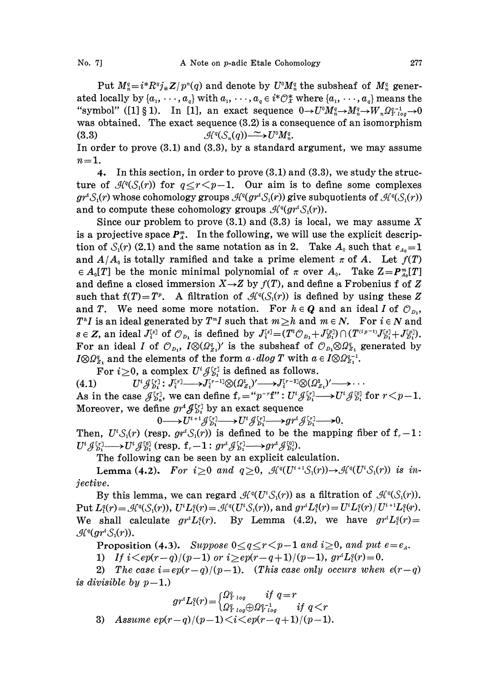Put  $M_{n}^q = i^*R^qj_*Z/p^q(q)$  and denote by  $U^0M_{n}^q$  the subsheaf of  $M_{n}^q$  generated locally by  $\{a_1, \dots, a_q\}$  with  $a_1, \dots, a_q \in i^*\mathcal{O}_X^*$  where  $\{a_1, \dots, a_q\}$  means the

"symbol" ([1] § 1). In [1], an exact sequence  $0 \rightarrow U^{\circ} M_n^q \rightarrow M_n^q \rightarrow W_n \Omega_{Y \log}^{q-1} \rightarrow 0$ was obtained. The exact sequence (3.2) is a consequence of an isomorphism (3.3)  $\mathcal{H}^q(\mathcal{S}_n(q)) \longrightarrow U^{\circ}M_n^q$ .

In order to prove (3.1) and (3.3), by a standard argument, we may assume  $n=1$ .

4. In this section, in order to prove (3.1) and (3.3), we study the structure of  $\mathcal{H}^q(\mathcal{S}_1(r))$  for  $q \leq r \leq p-1$ . Our aim is to define some complexes  $gr^*S_1(r)$  whose cohomology groups  $\mathcal{H}^q(gr^*S_1(r))$  give subquotients of  $\mathcal{H}^q(S_1(r))$ and to compute these cohomology groups  $\mathcal{H}^q(gr^i\mathcal{S}_1(r))$ .

Since our problem to prove  $(3.1)$  and  $(3.3)$  is local, we may assume X is a projective space  $P_{\mu}^{m}$ . In the following, we will use the explicit description of  $S_1(r)$  (2.1) and the same notation as in 2. Take  $A_0$  such that  $e_{40}=1$ and  $A/A_0$  is totally ramified and take a prime element  $\pi$  of A. Let  $f(T)$  $\in A_0[T]$  be the monic minimal polynomial of  $\pi$  over  $A_0$ . Take  $Z=P_{A_0}[T]$ and define a closed immersion  $X \rightarrow Z$  by  $f(T)$ , and define a Frobenius f of Z such that  $f(T)= T^p$ . A filtration of  $\mathcal{H}^q(\mathcal{S}_1(r))$  is defined by using these Z and T. We need some more notation. For  $h \in Q$  and an ideal I of  $\mathcal{O}_{p,q}$ , and T. We need some more notation. For  $h \in Q$  and an ideal I of  $\mathcal{O}_{D_1}$ ,<br>  $T^hI$  is an ideal generated by  $T^mI$  such that  $m \geq h$  and  $m \in N$ . For  $i \in N$  and<br>  $T^hI \subseteq T^h$ ,  $T^hI \subseteq T^hI$  $T^hI$  is an ideal generated by  $T^mI$  such that  $m \geq h$  and  $m \in N$ .<br>  $s \in Z$ , an ideal  $J_i^{[s]}$  of  $\mathcal{O}_{D_1}$  is defined by  $J_i^{[s]} = (T^i \mathcal{O}_{D_1} + J_{D_1}^{[p]}) \cap (I_i^{[s]})$  $\begin{array}{l} \textbf{For } i \in N \textbf{ and} \ T^{(i_{p}-1)} J^{[s]}_{D_1} + J^{[p]}_{D_1}), \ \tau_1 \textbf{ generated by} \ t_1^{-1}. \end{array}$ For an ideal I of  $\mathcal{O}_{D_1}$ ,  $I \otimes (\Omega_{Z_1}^q)'$  is the subsheaf of  $\mathcal{O}_{D_1} \otimes \Omega_{Z_1}^q$  generated by  $I\otimes\Omega_{Z_1}^q$  and the elements of the form  $a \cdot dlog T$  with  $a \in I\otimes\Omega_{Z_1}^{q-1}$ .

For  $i\geq 0$ , a complex  $U^i \mathcal{J}_{p_i}^{[r]}$  is defined as follows.

(4.1) As in the case  $\mathcal{J}_{p_n}^{[r]}$ , we can define  $f_r = "p^{-r}f": U^i \mathcal{J}_{p_1}^{[r]} \longrightarrow U^i \mathcal{J}_{p_1}^{[0]}$  for  $r < p-1$ .  $U^i {\mathcal J}_{D}^{[r]} \colon J_i^{[r]} \longrightarrow J_i^{[r-1]} \otimes (\mathcal{Q}_{Z_1}^1)' \longrightarrow J_i^{[r-2]} \otimes (\mathcal{Q}_{Z_1}^2)' \longrightarrow \cdots$ Moreover, we define  $gr^{\prime}\mathcal{J}_{D_1}^{[r]}$  by an exact sequence

 $0 \longrightarrow U^{i+1} \mathcal{J}_{D_1}^{[r]} \longrightarrow U^i \mathcal{J}_{D_1}^{[r]} \longrightarrow gr^i \mathcal{J}_{D_1}^{[r]} \longrightarrow 0.$ 

Then,  $U^i \mathcal{S}_1(r)$  (resp.  $gr^i \mathcal{S}_1(r)$ ) is defined to be the mapping fiber of  ${\bf f}_r-{\bf 1}$ :  $0 \longrightarrow U^{i+j} \mathcal{J}_{b_1}^{r_1} \longrightarrow U^{i} \mathcal{J}_{b_1}^{r_1} \longrightarrow$ <br>Then,  $U^{i} S_1(r)$  (resp.  $gr^{i} S_1(r)$ ) is defined to be  $U^{i} \mathcal{J}_{b_1}^{r_1} \longrightarrow U^{i} \mathcal{J}_{b_1}^{r_1}$  (resp.  $f_r - 1 : gr^{i} \mathcal{J}_{b_1}^{r_1} \longrightarrow gr^{i} \mathcal{J}_{b_1}^{r_1}$ <br>The following can

The following can be seen by an explicit calculation.

**Lemma (4.2).** For  $i\geq 0$  and  $q\geq 0$ ,  $\mathcal{H}^q(U^{i+1}\mathcal{S}_1(r))\rightarrow\mathcal{H}^q(U^{i}\mathcal{S}_1(r))$  is injective.

By this lemma, we can regard  $\mathcal{H}^q(U^*\mathcal{S}_1(r))$  as a filtration of  $\mathcal{H}^q(\mathcal{S}_1(r))$ . Put  $L_i^q(r) = \mathcal{H}^q(\mathcal{S}_1(r)), U^i L_i^q(r) = \mathcal{H}^q(U^i \mathcal{S}_1(r)),$  and  $gr^i L_i^q(r) = U^i L_i^q(r)/U^{i+1} L_i^q(r).$ We shall calculate  $gr^iL_1^q(r)$ . By Lemma (4.2), we have  $gr^iL_1^q(r)$  $\mathcal{H}^q(gr^i\mathcal{S}_1(r)).$ 

**Proposition (4.3).** Suppose  $0 \leq q \leq r \leq p-1$  and  $i \geq 0$ , and put  $e=e_4$ .

1) If  $i < ep(r-q)/(p-1)$  or  $i > ep(r-q+1)/(p-1)$ ,  $gr^tL_1^q(r)=0$ .

2) The case  $i=ep(r-q)/(p-1)$ . (This case only occurs when  $e(r-q)$ is divisible by  $p-1$ .)

$$
\begin{array}{lll} \textit{visible by $p-1$}, \\\\ & \qquad \qquad gr^t L_1^q(r) = \begin{cases} \varOmega^q_{Y \; log} & \textit{if $q=r$} \\ \varOmega^q_{Y \; log} \oplus \varOmega^{q-1}_{Y \; log} & \textit{if $q
$$